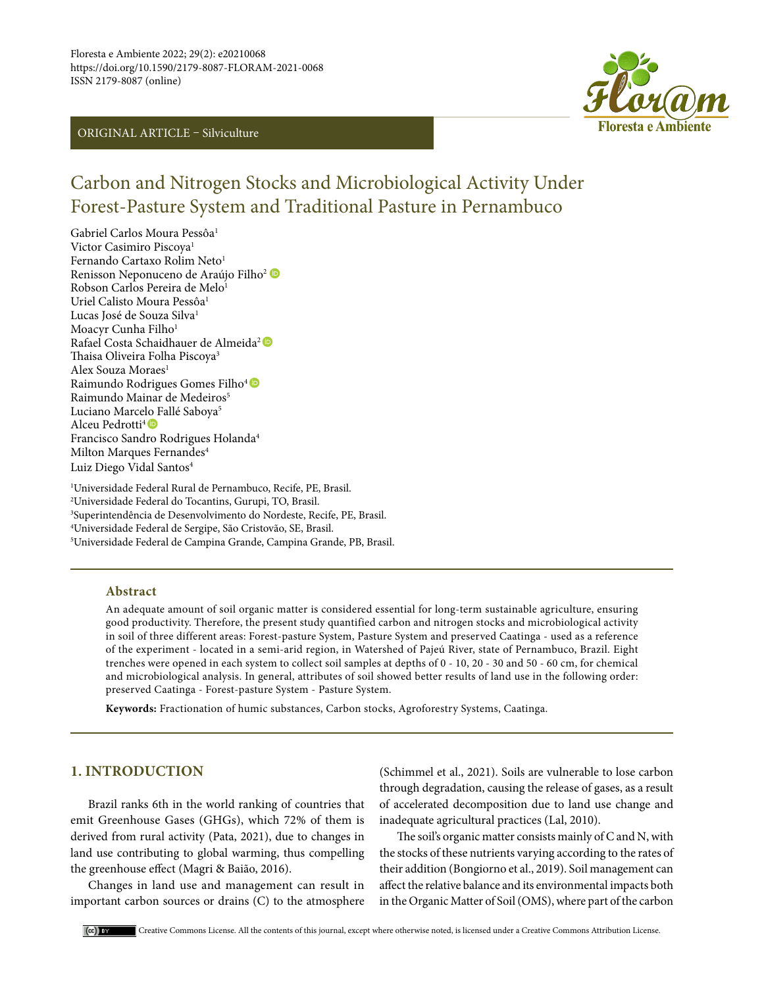# ORIGINAL ARTICLE – Silviculture



# Carbon and Nitrogen Stocks and Microbiological Activity Under Forest-Pasture System and Traditional Pasture in Pernambuco

Gabriel Carlos Moura Pessôa<sup>1</sup> Victor Casimiro Piscova<sup>1</sup> Fernando Cartaxo Rolim Neto<sup>1</sup> RenissonNeponuceno de Araújo Filho<sup>2</sup> Robson Carlos Pereira de Melo<sup>1</sup> Uriel Calisto Moura Pessôa<sup>1</sup> Lucas José de Souza Silva<sup>1</sup> Moacyr Cunha Filho<sup>1</sup> Rafael Costa Schaidhauer de Almeida<sup>2</sup> Thaisa Oliveira Folha Piscoya3 Alex Souza Moraes<sup>1</sup> RaimundoRodrigues Gomes Filho<sup>4</sup> Raimundo Mainar de Medeiros<sup>5</sup> Luciano Marcel[o F](https://orcid.org/0000-0003-3086-8399)allé Saboya<sup>5</sup> Alceu Pedrotti<sup>4</sup><sup>®</sup> Francisco Sandro Rodrigues Holanda4 Milton Marques Fernandes<sup>4</sup> Luiz Diego Vidal Santos<sup>4</sup>

 Universidade Federal Rural de Pernambuco, Recife, PE, Brasil. Universidade Federal do Tocantins, Gurupi, TO, Brasil. Superintendência de Desenvolvimento do Nordeste, Recife, PE, Brasil. Universidade Federal de Sergipe, São Cristovão, SE, Brasil. Universidade Federal de Campina Grande, Campina Grande, PB, Brasil.

#### **Abstract**

An adequate amount of soil organic matter is considered essential for long-term sustainable agriculture, ensuring good productivity. Therefore, the present study quantified carbon and nitrogen stocks and microbiological activity in soil of three different areas: Forest-pasture System, Pasture System and preserved Caatinga - used as a reference of the experiment - located in a semi-arid region, in Watershed of Pajeú River, state of Pernambuco, Brazil. Eight trenches were opened in each system to collect soil samples at depths of 0 - 10, 20 - 30 and 50 - 60 cm, for chemical and microbiological analysis. In general, attributes of soil showed better results of land use in the following order: preserved Caatinga - Forest-pasture System - Pasture System.

**Keywords:** Fractionation of humic substances, Carbon stocks, Agroforestry Systems, Caatinga.

# **1. INTRODUCTION**

Brazil ranks 6th in the world ranking of countries that emit Greenhouse Gases (GHGs), which 72% of them is derived from rural activity (Pata, 2021), due to changes in land use contributing to global warming, thus compelling the greenhouse effect (Magri & Baião, 2016).

Changes in land use and management can result in important carbon sources or drains (C) to the atmosphere

(Schimmel et al., 2021). Soils are vulnerable to lose carbon through degradation, causing the release of gases, as a result of accelerated decomposition due to land use change and inadequate agricultural practices (Lal, 2010).

The soil's organic matter consists mainly of C and N, with the stocks of these nutrients varying according to the rates of their addition (Bongiorno et al., 2019). Soil management can affect the relative balance and its environmental impacts both in the Organic Matter of Soil (OMS), where part of the carbon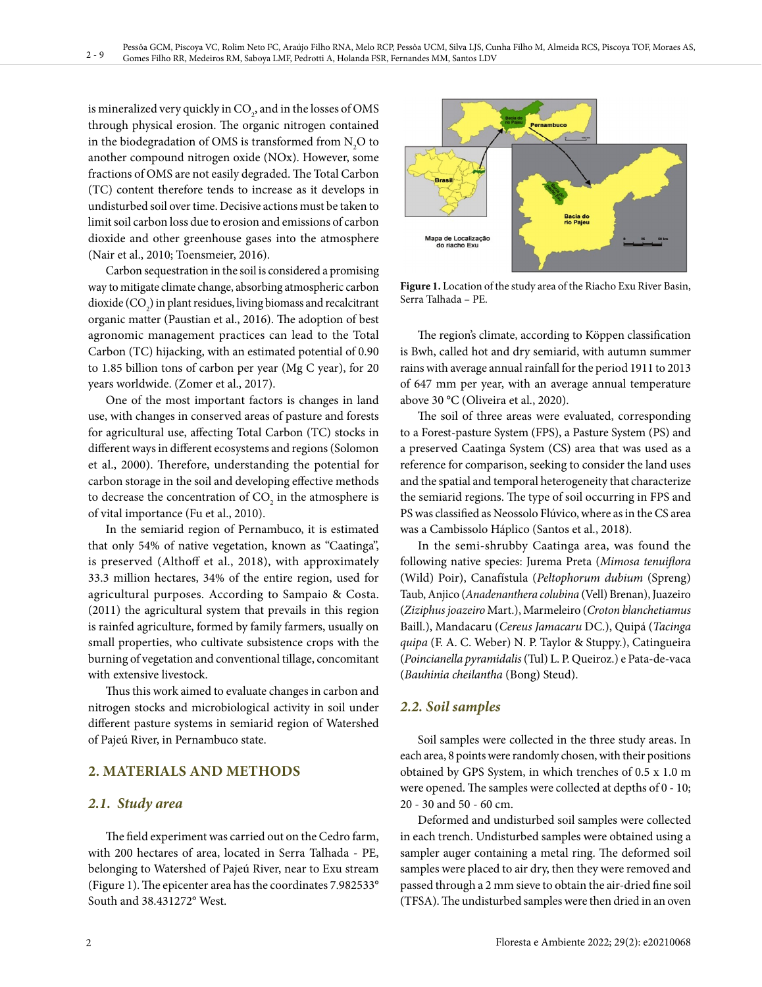is mineralized very quickly in  $\mathrm{CO}_2$ , and in the losses of OMS through physical erosion. The organic nitrogen contained in the biodegradation of OMS is transformed from  $N_2O$  to another compound nitrogen oxide (NOx). However, some fractions of OMS are not easily degraded. The Total Carbon (TC) content therefore tends to increase as it develops in undisturbed soil over time. Decisive actions must be taken to limit soil carbon loss due to erosion and emissions of carbon dioxide and other greenhouse gases into the atmosphere (Nair et al., 2010; Toensmeier, 2016).

Carbon sequestration in the soil is considered a promising way to mitigate climate change, absorbing atmospheric carbon dioxide  $(CO_2)$  in plant residues, living biomass and recalcitrant organic matter (Paustian et al., 2016). The adoption of best agronomic management practices can lead to the Total Carbon (TC) hijacking, with an estimated potential of 0.90 to 1.85 billion tons of carbon per year (Mg C year), for 20 years worldwide. (Zomer et al., 2017).

One of the most important factors is changes in land use, with changes in conserved areas of pasture and forests for agricultural use, affecting Total Carbon (TC) stocks in different ways in different ecosystems and regions (Solomon et al., 2000). Therefore, understanding the potential for carbon storage in the soil and developing effective methods to decrease the concentration of  $\mathrm{CO}_2$  in the atmosphere is of vital importance (Fu et al., 2010).

In the semiarid region of Pernambuco, it is estimated that only 54% of native vegetation, known as "Caatinga", is preserved (Althoff et al., 2018), with approximately 33.3 million hectares, 34% of the entire region, used for agricultural purposes. According to Sampaio & Costa. (2011) the agricultural system that prevails in this region is rainfed agriculture, formed by family farmers, usually on small properties, who cultivate subsistence crops with the burning of vegetation and conventional tillage, concomitant with extensive livestock.

Thus this work aimed to evaluate changes in carbon and nitrogen stocks and microbiological activity in soil under different pasture systems in semiarid region of Watershed of Pajeú River, in Pernambuco state.

# **2. MATERIALS AND METHODS**

# *2.1. Study area*

The field experiment was carried out on the Cedro farm, with 200 hectares of area, located in Serra Talhada - PE, belonging to Watershed of Pajeú River, near to Exu stream (Figure 1). The epicenter area has the coordinates 7.982533° South and 38.431272° West.



**Figure 1.** Location of the study area of the Riacho Exu River Basin, Serra Talhada – PE.

The region's climate, according to Köppen classification is Bwh, called hot and dry semiarid, with autumn summer rains with average annual rainfall for the period 1911 to 2013 of 647 mm per year, with an average annual temperature above 30 °C (Oliveira et al., 2020).

The soil of three areas were evaluated, corresponding to a Forest-pasture System (FPS), a Pasture System (PS) and a preserved Caatinga System (CS) area that was used as a reference for comparison, seeking to consider the land uses and the spatial and temporal heterogeneity that characterize the semiarid regions. The type of soil occurring in FPS and PS was classified as Neossolo Flúvico, where as in the CS area was a Cambissolo Háplico (Santos et al., 2018).

In the semi-shrubby Caatinga area, was found the following native species: Jurema Preta (*Mimosa tenuiflora* (Wild) Poir), Canafístula (*Peltophorum dubium* (Spreng) Taub, Anjico (*Anadenanthera colubina* (Vell) Brenan), Juazeiro (*Ziziphus joazeiro* Mart.), Marmeleiro (*Croton blanchetiamus* Baill.), Mandacaru (*Cereus Jamacaru* DC.), Quipá (*Tacinga quipa* (F. A. C. Weber) N. P. Taylor & Stuppy.), Catingueira (*Poincianella pyramidalis* (Tul) L. P. Queiroz.) e Pata-de-vaca (*Bauhinia cheilantha* (Bong) Steud).

# *2.2. Soil samples*

Soil samples were collected in the three study areas. In each area, 8 points were randomly chosen, with their positions obtained by GPS System, in which trenches of 0.5 x 1.0 m were opened. The samples were collected at depths of 0 - 10; 20 - 30 and 50 - 60 cm.

Deformed and undisturbed soil samples were collected in each trench. Undisturbed samples were obtained using a sampler auger containing a metal ring. The deformed soil samples were placed to air dry, then they were removed and passed through a 2 mm sieve to obtain the air-dried fine soil (TFSA). The undisturbed samples were then dried in an oven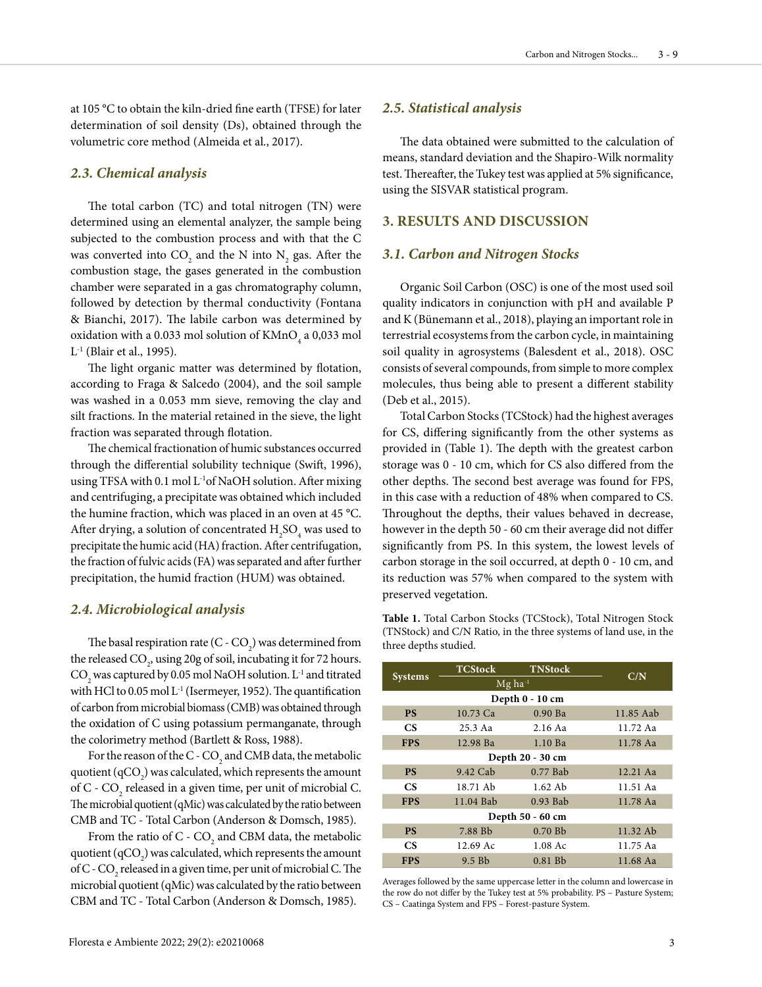at 105 °C to obtain the kiln-dried fine earth (TFSE) for later determination of soil density (Ds), obtained through the volumetric core method (Almeida et al., 2017).

#### *2.3. Chemical analysis*

The total carbon (TC) and total nitrogen (TN) were determined using an elemental analyzer, the sample being subjected to the combustion process and with that the C was converted into  $\text{CO}_2$  and the N into  $\text{N}_2$  gas. After the combustion stage, the gases generated in the combustion chamber were separated in a gas chromatography column, followed by detection by thermal conductivity (Fontana & Bianchi, 2017). The labile carbon was determined by oxidation with a 0.033 mol solution of  $\text{KMnO}_4$  a 0,033 mol L-1 (Blair et al., 1995).

The light organic matter was determined by flotation, according to Fraga & Salcedo (2004), and the soil sample was washed in a 0.053 mm sieve, removing the clay and silt fractions. In the material retained in the sieve, the light fraction was separated through flotation.

The chemical fractionation of humic substances occurred through the differential solubility technique (Swift, 1996), using TFSA with 0.1 mol L<sup>-1</sup>of NaOH solution. After mixing and centrifuging, a precipitate was obtained which included the humine fraction, which was placed in an oven at 45 °C. After drying, a solution of concentrated  $\rm{H_2SO_4}$  was used to precipitate the humic acid (HA) fraction. After centrifugation, the fraction of fulvic acids (FA) was separated and after further precipitation, the humid fraction (HUM) was obtained.

#### *2.4. Microbiological analysis*

The basal respiration rate (C -  $\mathrm{CO}_2$ ) was determined from the released  $\text{CO}_2$ , using 20g of soil, incubating it for 72 hours.  $\mathrm{CO}_2^{}$  was captured by 0.05 mol NaOH solution.  $\mathrm{L}^{\text{-}1}$  and titrated with HCl to 0.05 mol L<sup>-1</sup> (Isermeyer, 1952). The quantification of carbon from microbial biomass (CMB) was obtained through the oxidation of C using potassium permanganate, through the colorimetry method (Bartlett & Ross, 1988).

For the reason of the C -  $\mathrm{CO}_2$  and CMB data, the metabolic quotient (qCO<sub>2</sub>) was calculated, which represents the amount of C -  $\text{CO}_2$  released in a given time, per unit of microbial C. The microbial quotient (qMic) was calculated by the ratio between CMB and TC - Total Carbon (Anderson & Domsch, 1985).

From the ratio of  $C$  -  $CO_2$  and CBM data, the metabolic quotient (qCO<sub>2</sub>) was calculated, which represents the amount of C -  $\mathrm{CO}_2$  released in a given time, per unit of microbial C. The microbial quotient (qMic) was calculated by the ratio between CBM and TC - Total Carbon (Anderson & Domsch, 1985).

#### *2.5. Statistical analysis*

The data obtained were submitted to the calculation of means, standard deviation and the Shapiro-Wilk normality test. Thereafter, the Tukey test was applied at 5% significance, using the SISVAR statistical program.

#### **3. RESULTS AND DISCUSSION**

#### *3.1. Carbon and Nitrogen Stocks*

Organic Soil Carbon (OSC) is one of the most used soil quality indicators in conjunction with pH and available P and K (Bünemann et al., 2018), playing an important role in terrestrial ecosystems from the carbon cycle, in maintaining soil quality in agrosystems (Balesdent et al., 2018). OSC consists of several compounds, from simple to more complex molecules, thus being able to present a different stability (Deb et al., 2015).

Total Carbon Stocks (TCStock) had the highest averages for CS, differing significantly from the other systems as provided in (Table 1). The depth with the greatest carbon storage was 0 - 10 cm, which for CS also differed from the other depths. The second best average was found for FPS, in this case with a reduction of 48% when compared to CS. Throughout the depths, their values behaved in decrease, however in the depth 50 - 60 cm their average did not differ significantly from PS. In this system, the lowest levels of carbon storage in the soil occurred, at depth 0 - 10 cm, and its reduction was 57% when compared to the system with preserved vegetation.

**Table 1.** Total Carbon Stocks (TCStock), Total Nitrogen Stock (TNStock) and C/N Ratio, in the three systems of land use, in the three depths studied.

| <b>Systems</b>   | <b>TCStock</b>        | <b>TNStock</b> | C/N        |  |  |  |  |  |
|------------------|-----------------------|----------------|------------|--|--|--|--|--|
|                  | $Mg$ ha <sup>-1</sup> |                |            |  |  |  |  |  |
| Depth 0 - 10 cm  |                       |                |            |  |  |  |  |  |
| <b>PS</b>        | 10.73 Ca              | $0.90$ Ba      | 11.85 Aab  |  |  |  |  |  |
| <b>CS</b>        | $25.3$ Aa             | 2.16 Aa        | 11.72 Aa   |  |  |  |  |  |
| <b>FPS</b>       | 12.98 Ba              | $1.10$ Ba      | 11.78 Aa   |  |  |  |  |  |
| Depth 20 - 30 cm |                       |                |            |  |  |  |  |  |
| <b>PS</b>        | 9.42 Cab              | $0.77$ Bab     | $12.21$ Aa |  |  |  |  |  |
| CS.              | 18.71 Ab              | $1.62$ Ab      | 11.51 Aa   |  |  |  |  |  |
| <b>FPS</b>       | 11.04 Bab             | $0.93$ Bab     | 11.78 Aa   |  |  |  |  |  |
| Depth 50 - 60 cm |                       |                |            |  |  |  |  |  |
| <b>PS</b>        | 7.88 Bb               | 0.70Bb         | 11.32 Ab   |  |  |  |  |  |
| <b>CS</b>        | 12.69 Ac              | $1.08$ Ac      | 11.75 Aa   |  |  |  |  |  |
| <b>FPS</b>       | $9.5$ Bb              | $0.81$ Bb      | 11.68 Aa   |  |  |  |  |  |

Averages followed by the same uppercase letter in the column and lowercase in the row do not differ by the Tukey test at 5% probability. PS – Pasture System; CS – Caatinga System and FPS – Forest-pasture System.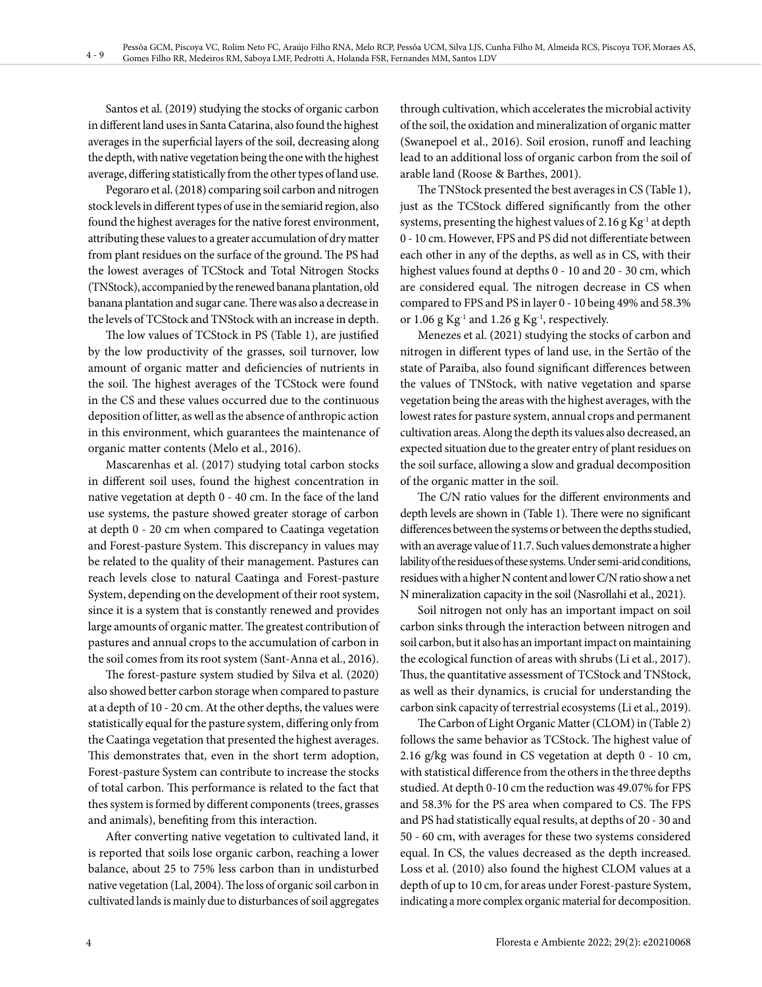Santos et al. (2019) studying the stocks of organic carbon in different land uses in Santa Catarina, also found the highest averages in the superficial layers of the soil, decreasing along the depth, with native vegetation being the one with the highest average, differing statistically from the other types of land use.

Pegoraro et al. (2018) comparing soil carbon and nitrogen stock levels in different types of use in the semiarid region, also found the highest averages for the native forest environment, attributing these values to a greater accumulation of dry matter from plant residues on the surface of the ground. The PS had the lowest averages of TCStock and Total Nitrogen Stocks (TNStock), accompanied by the renewed banana plantation, old banana plantation and sugar cane. There was also a decrease in the levels of TCStock and TNStock with an increase in depth.

The low values of TCStock in PS (Table 1), are justified by the low productivity of the grasses, soil turnover, low amount of organic matter and deficiencies of nutrients in the soil. The highest averages of the TCStock were found in the CS and these values occurred due to the continuous deposition of litter, as well as the absence of anthropic action in this environment, which guarantees the maintenance of organic matter contents (Melo et al., 2016).

Mascarenhas et al. (2017) studying total carbon stocks in different soil uses, found the highest concentration in native vegetation at depth 0 - 40 cm. In the face of the land use systems, the pasture showed greater storage of carbon at depth 0 - 20 cm when compared to Caatinga vegetation and Forest-pasture System. This discrepancy in values may be related to the quality of their management. Pastures can reach levels close to natural Caatinga and Forest-pasture System, depending on the development of their root system, since it is a system that is constantly renewed and provides large amounts of organic matter. The greatest contribution of pastures and annual crops to the accumulation of carbon in the soil comes from its root system (Sant-Anna et al., 2016).

The forest-pasture system studied by Silva et al. (2020) also showed better carbon storage when compared to pasture at a depth of 10 - 20 cm. At the other depths, the values were statistically equal for the pasture system, differing only from the Caatinga vegetation that presented the highest averages. This demonstrates that, even in the short term adoption, Forest-pasture System can contribute to increase the stocks of total carbon. This performance is related to the fact that thes system is formed by different components (trees, grasses and animals), benefiting from this interaction.

After converting native vegetation to cultivated land, it is reported that soils lose organic carbon, reaching a lower balance, about 25 to 75% less carbon than in undisturbed native vegetation (Lal, 2004). The loss of organic soil carbon in cultivated lands is mainly due to disturbances of soil aggregates

through cultivation, which accelerates the microbial activity of the soil, the oxidation and mineralization of organic matter (Swanepoel et al., 2016). Soil erosion, runoff and leaching lead to an additional loss of organic carbon from the soil of arable land (Roose & Barthes, 2001).

The TNStock presented the best averages in CS (Table 1), just as the TCStock differed significantly from the other systems, presenting the highest values of 2.16 g Kg $^{-1}$  at depth 0 - 10 cm. However, FPS and PS did not differentiate between each other in any of the depths, as well as in CS, with their highest values found at depths 0 - 10 and 20 - 30 cm, which are considered equal. The nitrogen decrease in CS when compared to FPS and PS in layer 0 - 10 being 49% and 58.3% or 1.06 g  $Kg^{-1}$  and 1.26 g  $Kg^{-1}$ , respectively.

Menezes et al. (2021) studying the stocks of carbon and nitrogen in different types of land use, in the Sertão of the state of Paraiba, also found significant differences between the values of TNStock, with native vegetation and sparse vegetation being the areas with the highest averages, with the lowest rates for pasture system, annual crops and permanent cultivation areas. Along the depth its values also decreased, an expected situation due to the greater entry of plant residues on the soil surface, allowing a slow and gradual decomposition of the organic matter in the soil.

The C/N ratio values for the different environments and depth levels are shown in (Table 1). There were no significant differences between the systems or between the depths studied, with an average value of 11.7. Such values demonstrate a higher lability of the residues of these systems. Under semi-arid conditions, residues with a higher N content and lower C/N ratio show a net N mineralization capacity in the soil (Nasrollahi et al., 2021).

Soil nitrogen not only has an important impact on soil carbon sinks through the interaction between nitrogen and soil carbon, but it also has an important impact on maintaining the ecological function of areas with shrubs (Li et al., 2017). Thus, the quantitative assessment of TCStock and TNStock, as well as their dynamics, is crucial for understanding the carbon sink capacity of terrestrial ecosystems (Li et al., 2019).

The Carbon of Light Organic Matter (CLOM) in (Table 2) follows the same behavior as TCStock. The highest value of 2.16 g/kg was found in CS vegetation at depth 0 - 10 cm, with statistical difference from the others in the three depths studied. At depth 0-10 cm the reduction was 49.07% for FPS and 58.3% for the PS area when compared to CS. The FPS and PS had statistically equal results, at depths of 20 - 30 and 50 - 60 cm, with averages for these two systems considered equal. In CS, the values decreased as the depth increased. Loss et al. (2010) also found the highest CLOM values at a depth of up to 10 cm, for areas under Forest-pasture System, indicating a more complex organic material for decomposition.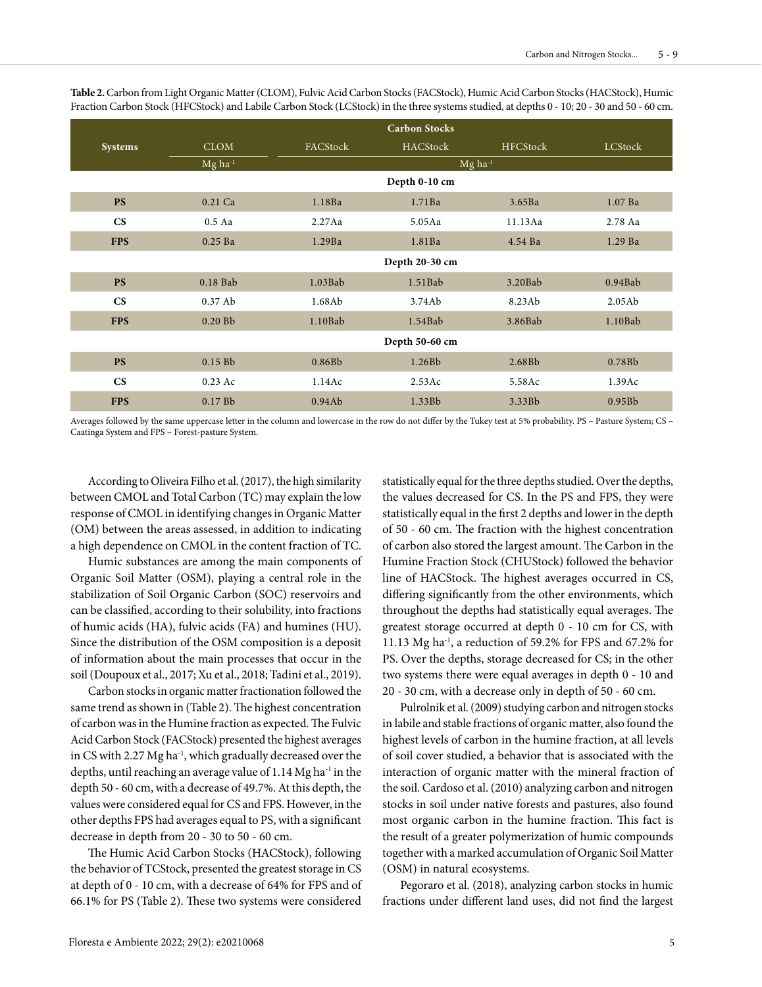|                        |                       | <b>Carbon Stocks</b>  |                 |                 |                    |  |
|------------------------|-----------------------|-----------------------|-----------------|-----------------|--------------------|--|
| <b>Systems</b>         | <b>CLOM</b>           | FACStock              | <b>HACStock</b> | <b>HFCStock</b> | LCStock            |  |
|                        | $Mg$ ha <sup>-1</sup> | $Mg$ ha <sup>-1</sup> |                 |                 |                    |  |
|                        |                       |                       | Depth 0-10 cm   |                 |                    |  |
| <b>PS</b>              | 0.21 Ca               | 1.18Ba                | 1.71Ba          | 3.65Ba          | $1.07$ Ba          |  |
| $\mathbf{C}\mathbf{S}$ | 0.5Aa                 | 2.27Aa                | 5.05Aa          | 11.13Aa         | 2.78 Aa            |  |
| <b>FPS</b>             | $0.25$ Ba             | 1.29Ba                | 1.81Ba          | 4.54 Ba         | $1.29$ Ba          |  |
|                        |                       | Depth 20-30 cm        |                 |                 |                    |  |
| <b>PS</b>              | 0.18 Bab              | $1.03$ Bab            | $1.51$ Bab      | $3.20$ Bab      | $0.94$ Bab         |  |
| $\mathbf{C}\mathbf{S}$ | $0.37$ Ab             | 1.68Ab                | 3.74Ab          | 8.23Ab          | 2.05Ab             |  |
| <b>FPS</b>             | 0.20 Bb               | $1.10$ Bab            | $1.54$ Bab      | 3.86Bab         | $1.10$ Bab         |  |
|                        |                       | Depth 50-60 cm        |                 |                 |                    |  |
| <b>PS</b>              | $0.15$ Bb             | 0.86Bb                | 1.26Bb          | 2.68Bb          | 0.78B <sub>b</sub> |  |
| $\mathbf{C}\mathbf{S}$ | 0.23 Ac               | 1.14Ac                | 2.53Ac          | 5.58Ac          | 1.39Ac             |  |
| <b>FPS</b>             | $0.17$ Bb             | 0.94Ab                | 1.33Bb          | 3.33Bb          | 0.95B <sub>b</sub> |  |

**Table 2.** Carbon from Light Organic Matter (CLOM), Fulvic Acid Carbon Stocks (FACStock), Humic Acid Carbon Stocks (HACStock), Humic Fraction Carbon Stock (HFCStock) and Labile Carbon Stock (LCStock) in the three systems studied, at depths 0 - 10; 20 - 30 and 50 - 60 cm.

Averages followed by the same uppercase letter in the column and lowercase in the row do not differ by the Tukey test at 5% probability. PS – Pasture System; CS – Caatinga System and FPS – Forest-pasture System.

According to Oliveira Filho et al. (2017), the high similarity between CMOL and Total Carbon (TC) may explain the low response of CMOL in identifying changes in Organic Matter (OM) between the areas assessed, in addition to indicating a high dependence on CMOL in the content fraction of TC.

Humic substances are among the main components of Organic Soil Matter (OSM), playing a central role in the stabilization of Soil Organic Carbon (SOC) reservoirs and can be classified, according to their solubility, into fractions of humic acids (HA), fulvic acids (FA) and humines (HU). Since the distribution of the OSM composition is a deposit of information about the main processes that occur in the soil (Doupoux et al., 2017; Xu et al., 2018; Tadini et al., 2019).

Carbon stocks in organic matter fractionation followed the same trend as shown in (Table 2). The highest concentration of carbon was in the Humine fraction as expected. The Fulvic Acid Carbon Stock (FACStock) presented the highest averages in CS with 2.27 Mg ha<sup>-1</sup>, which gradually decreased over the depths, until reaching an average value of 1.14 Mg ha<sup>-1</sup> in the depth 50 - 60 cm, with a decrease of 49.7%. At this depth, the values were considered equal for CS and FPS. However, in the other depths FPS had averages equal to PS, with a significant decrease in depth from 20 - 30 to 50 - 60 cm.

The Humic Acid Carbon Stocks (HACStock), following the behavior of TCStock, presented the greatest storage in CS at depth of 0 - 10 cm, with a decrease of 64% for FPS and of 66.1% for PS (Table 2). These two systems were considered

statistically equal for the three depths studied. Over the depths, the values decreased for CS. In the PS and FPS, they were statistically equal in the first 2 depths and lower in the depth of 50 - 60 cm. The fraction with the highest concentration of carbon also stored the largest amount. The Carbon in the Humine Fraction Stock (CHUStock) followed the behavior line of HACStock. The highest averages occurred in CS, differing significantly from the other environments, which throughout the depths had statistically equal averages. The greatest storage occurred at depth 0 - 10 cm for CS, with 11.13 Mg ha-1, a reduction of 59.2% for FPS and 67.2% for PS. Over the depths, storage decreased for CS; in the other two systems there were equal averages in depth 0 - 10 and 20 - 30 cm, with a decrease only in depth of 50 - 60 cm.

Pulrolnik et al. (2009) studying carbon and nitrogen stocks in labile and stable fractions of organic matter, also found the highest levels of carbon in the humine fraction, at all levels of soil cover studied, a behavior that is associated with the interaction of organic matter with the mineral fraction of the soil. Cardoso et al. (2010) analyzing carbon and nitrogen stocks in soil under native forests and pastures, also found most organic carbon in the humine fraction. This fact is the result of a greater polymerization of humic compounds together with a marked accumulation of Organic Soil Matter (OSM) in natural ecosystems.

Pegoraro et al. (2018), analyzing carbon stocks in humic fractions under different land uses, did not find the largest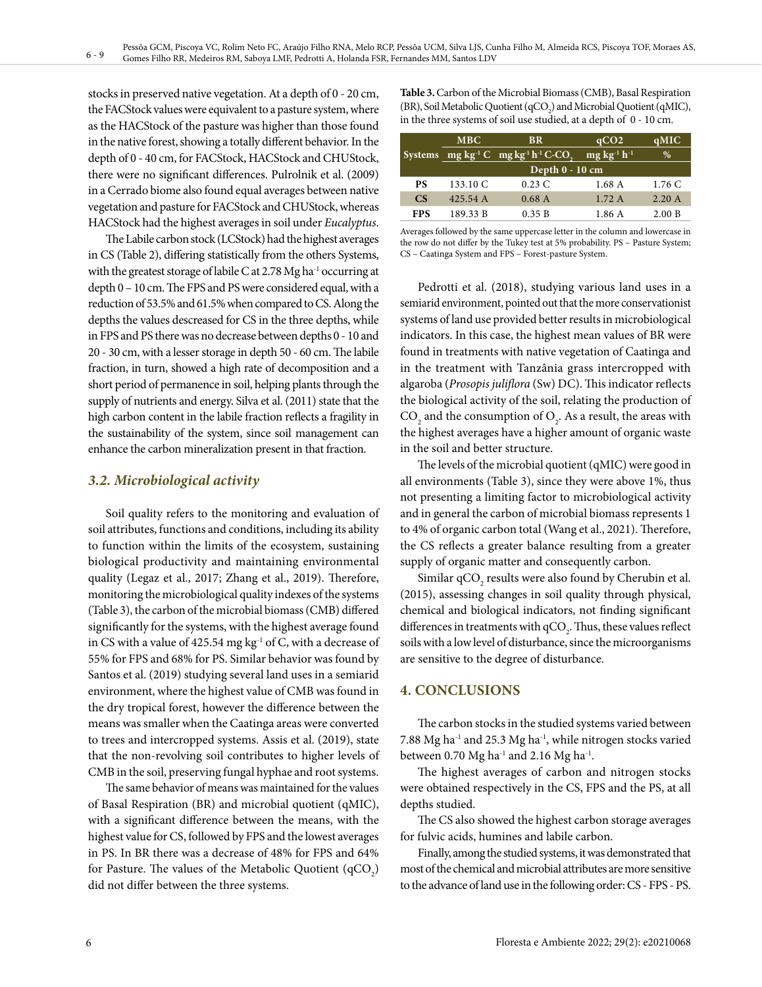stocks in preserved native vegetation. At a depth of 0 - 20 cm, the FACStock values were equivalent to a pasture system, where as the HACStock of the pasture was higher than those found in the native forest, showing a totally different behavior. In the depth of 0 - 40 cm, for FACStock, HACStock and CHUStock, there were no significant differences. Pulrolnik et al. (2009) in a Cerrado biome also found equal averages between native vegetation and pasture for FACStock and CHUStock, whereas HACStock had the highest averages in soil under *Eucalyptus*.

The Labile carbon stock (LCStock) had the highest averages in CS (Table 2), differing statistically from the others Systems, with the greatest storage of labile C at 2.78 Mg ha<sup>-1</sup> occurring at depth 0 – 10 cm. The FPS and PS were considered equal, with a reduction of 53.5% and 61.5% when compared to CS. Along the depths the values descreased for CS in the three depths, while in FPS and PS there was no decrease between depths 0 - 10 and 20 - 30 cm, with a lesser storage in depth 50 - 60 cm. The labile fraction, in turn, showed a high rate of decomposition and a short period of permanence in soil, helping plants through the supply of nutrients and energy. Silva et al. (2011) state that the high carbon content in the labile fraction reflects a fragility in the sustainability of the system, since soil management can enhance the carbon mineralization present in that fraction.

# *3.2. Microbiological activity*

Soil quality refers to the monitoring and evaluation of soil attributes, functions and conditions, including its ability to function within the limits of the ecosystem, sustaining biological productivity and maintaining environmental quality (Legaz et al., 2017; Zhang et al., 2019). Therefore, monitoring the microbiological quality indexes of the systems (Table 3), the carbon of the microbial biomass (CMB) differed significantly for the systems, with the highest average found in CS with a value of  $425.54$  mg kg<sup>-1</sup> of C, with a decrease of 55% for FPS and 68% for PS. Similar behavior was found by Santos et al. (2019) studying several land uses in a semiarid environment, where the highest value of CMB was found in the dry tropical forest, however the difference between the means was smaller when the Caatinga areas were converted to trees and intercropped systems. Assis et al. (2019), state that the non-revolving soil contributes to higher levels of CMB in the soil, preserving fungal hyphae and root systems.

The same behavior of means was maintained for the values of Basal Respiration (BR) and microbial quotient (qMIC), with a significant difference between the means, with the highest value for CS, followed by FPS and the lowest averages in PS. In BR there was a decrease of 48% for FPS and 64% for Pasture. The values of the Metabolic Quotient  $(qCO<sub>2</sub>)$ did not differ between the three systems.

**Table 3.** Carbon of the Microbial Biomass (CMB), Basal Respiration (BR), Soil Metabolic Quotient ( $qCO_2$ ) and Microbial Quotient ( $qMIC$ ), in the three systems of soil use studied, at a depth of 0 - 10 cm.

|            | <b>MBC</b>      | <b>BR</b>                                                                                     | qCO <sub>2</sub>       | qMIC   |  |  |
|------------|-----------------|-----------------------------------------------------------------------------------------------|------------------------|--------|--|--|
|            |                 | Systems $mg \, kg^{-1} \, \overline{C}$ mg kg <sup>-1</sup> h <sup>-1</sup> C-CO <sub>2</sub> | $mg \, kg^{-1} h^{-1}$ | %      |  |  |
|            | Depth 0 - 10 cm |                                                                                               |                        |        |  |  |
| <b>PS</b>  | 133.10 C        | $0.23\ C$                                                                                     | 1.68 A                 | 1.76 C |  |  |
| <b>CS</b>  | 425.54 A        | 0.68A                                                                                         | 1.72A                  | 2.20A  |  |  |
| <b>FPS</b> | 189.33 B        | 0.35 B                                                                                        | 1.86 A                 | 2.00 B |  |  |

Averages followed by the same uppercase letter in the column and lowercase in the row do not differ by the Tukey test at 5% probability. PS – Pasture System; CS – Caatinga System and FPS – Forest-pasture System.

Pedrotti et al. (2018), studying various land uses in a semiarid environment, pointed out that the more conservationist systems of land use provided better results in microbiological indicators. In this case, the highest mean values of BR were found in treatments with native vegetation of Caatinga and in the treatment with Tanzânia grass intercropped with algaroba (*Prosopis juliflora* (Sw) DC). This indicator reflects the biological activity of the soil, relating the production of  $\text{CO}_2$  and the consumption of  $\text{O}_2$ . As a result, the areas with the highest averages have a higher amount of organic waste in the soil and better structure.

The levels of the microbial quotient (qMIC) were good in all environments (Table 3), since they were above 1%, thus not presenting a limiting factor to microbiological activity and in general the carbon of microbial biomass represents 1 to 4% of organic carbon total (Wang et al., 2021). Therefore, the CS reflects a greater balance resulting from a greater supply of organic matter and consequently carbon.

Similar  $qCO_2$  results were also found by Cherubin et al. (2015), assessing changes in soil quality through physical, chemical and biological indicators, not finding significant differences in treatments with  $qCO_2$ . Thus, these values reflect soils with a low level of disturbance, since the microorganisms are sensitive to the degree of disturbance.

# **4. CONCLUSIONS**

The carbon stocks in the studied systems varied between 7.88 Mg ha-1 and 25.3 Mg ha-1, while nitrogen stocks varied between 0.70 Mg ha $^{-1}$  and 2.16 Mg ha $^{-1}$ .

The highest averages of carbon and nitrogen stocks were obtained respectively in the CS, FPS and the PS, at all depths studied.

The CS also showed the highest carbon storage averages for fulvic acids, humines and labile carbon.

Finally, among the studied systems, it was demonstrated that most of the chemical and microbial attributes are more sensitive to the advance of land use in the following order: CS - FPS - PS.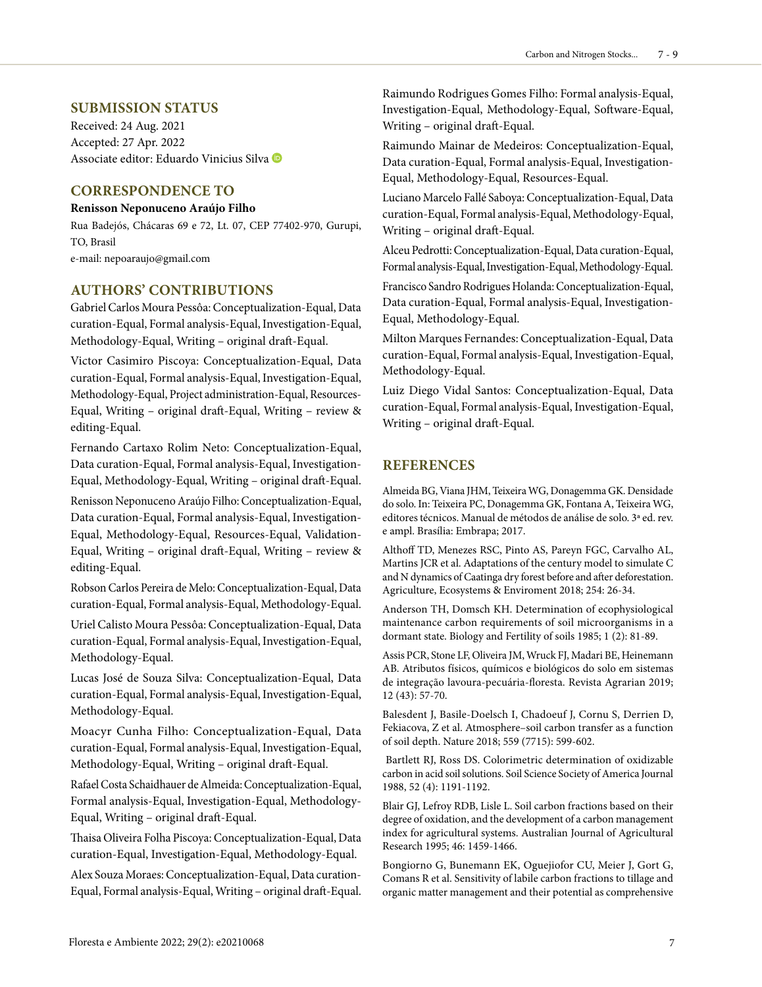#### **SUBMISSION STATUS**

Received: 24 Aug. 2021 Accepted: 27 Apr. 2022 Associate editor: Eduardo Vinicius Silva

#### **CORRESPONDENCE TO**

#### **Renisson Neponuceno Araújo Filho**

Rua Badejós, Chácaras 69 e 72, Lt. 07, CEP 77402-970, Gurupi, TO, Brasil

e-mail: nepoaraujo@gmail.com

### **AUTHORS' CONTRIBUTIONS**

Gabriel Carlos Moura Pessôa: Conceptualization-Equal, Data curation-Equal, Formal analysis-Equal, Investigation-Equal, Methodology-Equal, Writing – original draft-Equal.

Victor Casimiro Piscoya: Conceptualization-Equal, Data curation-Equal, Formal analysis-Equal, Investigation-Equal, Methodology-Equal, Project administration-Equal, Resources-Equal, Writing – original draft-Equal, Writing – review & editing-Equal.

Fernando Cartaxo Rolim Neto: Conceptualization-Equal, Data curation-Equal, Formal analysis-Equal, Investigation-Equal, Methodology-Equal, Writing – original draft-Equal.

Renisson Neponuceno Araújo Filho: Conceptualization-Equal, Data curation-Equal, Formal analysis-Equal, Investigation-Equal, Methodology-Equal, Resources-Equal, Validation-Equal, Writing – original draft-Equal, Writing – review & editing-Equal.

Robson Carlos Pereira de Melo: Conceptualization-Equal, Data curation-Equal, Formal analysis-Equal, Methodology-Equal. Uriel Calisto Moura Pessôa: Conceptualization-Equal, Data curation-Equal, Formal analysis-Equal, Investigation-Equal, Methodology-Equal.

Lucas José de Souza Silva: Conceptualization-Equal, Data curation-Equal, Formal analysis-Equal, Investigation-Equal, Methodology-Equal.

Moacyr Cunha Filho: Conceptualization-Equal, Data curation-Equal, Formal analysis-Equal, Investigation-Equal, Methodology-Equal, Writing – original draft-Equal.

Rafael Costa Schaidhauer de Almeida: Conceptualization-Equal, Formal analysis-Equal, Investigation-Equal, Methodology-Equal, Writing – original draft-Equal.

Thaisa Oliveira Folha Piscoya: Conceptualization-Equal, Data curation-Equal, Investigation-Equal, Methodology-Equal.

Alex Souza Moraes: Conceptualization-Equal, Data curation-Equal, Formal analysis-Equal, Writing – original draft-Equal.

Raimundo Rodrigues Gomes Filho: Formal analysis-Equal, Investigation-Equal, Methodology-Equal, Software-Equal, Writing – original draft-Equal.

Raimundo Mainar de Medeiros: Conceptualization-Equal, Data curation-Equal, Formal analysis-Equal, Investigation-Equal, Methodology-Equal, Resources-Equal.

Luciano Marcelo Fallé Saboya: Conceptualization-Equal, Data curation-Equal, Formal analysis-Equal, Methodology-Equal, Writing – original draft-Equal.

Alceu Pedrotti: Conceptualization-Equal, Data curation-Equal, Formal analysis-Equal, Investigation-Equal, Methodology-Equal.

Francisco Sandro Rodrigues Holanda: Conceptualization-Equal, Data curation-Equal, Formal analysis-Equal, Investigation-Equal, Methodology-Equal.

Milton Marques Fernandes: Conceptualization-Equal, Data curation-Equal, Formal analysis-Equal, Investigation-Equal, Methodology-Equal.

Luiz Diego Vidal Santos: Conceptualization-Equal, Data curation-Equal, Formal analysis-Equal, Investigation-Equal, Writing – original draft-Equal.

#### **REFERENCES**

Almeida BG, Viana JHM, Teixeira WG, Donagemma GK. Densidade do solo. In: Teixeira PC, Donagemma GK, Fontana A, Teixeira WG, editores técnicos. Manual de métodos de análise de solo. 3ª ed. rev. e ampl. Brasília: Embrapa; 2017.

Althoff TD, Menezes RSC, Pinto AS, Pareyn FGC, Carvalho AL, Martins JCR et al. Adaptations of the century model to simulate C and N dynamics of Caatinga dry forest before and after deforestation. Agriculture, Ecosystems & Enviroment 2018; 254: 26-34.

Anderson TH, Domsch KH. Determination of ecophysiological maintenance carbon requirements of soil microorganisms in a dormant state. Biology and Fertility of soils 1985; 1 (2): 81-89.

Assis PCR, Stone LF, Oliveira JM, Wruck FJ, Madari BE, Heinemann AB. Atributos físicos, químicos e biológicos do solo em sistemas de integração lavoura-pecuária-floresta. Revista Agrarian 2019; 12 (43): 57-70.

Balesdent J, Basile-Doelsch I, Chadoeuf J, Cornu S, Derrien D, Fekiacova, Z et al. Atmosphere–soil carbon transfer as a function of soil depth. Nature 2018; 559 (7715): 599-602.

 Bartlett RJ, Ross DS. Colorimetric determination of oxidizable carbon in acid soil solutions. Soil Science Society of America Journal 1988, 52 (4): 1191-1192.

Blair GJ, Lefroy RDB, Lisle L. Soil carbon fractions based on their degree of oxidation, and the development of a carbon management index for agricultural systems. Australian Journal of Agricultural Research 1995; 46: 1459-1466.

Bongiorno G, Bunemann EK, Oguejiofor CU, Meier J, Gort G, Comans R et al. Sensitivity of labile carbon fractions to tillage and organic matter management and their potential as comprehensive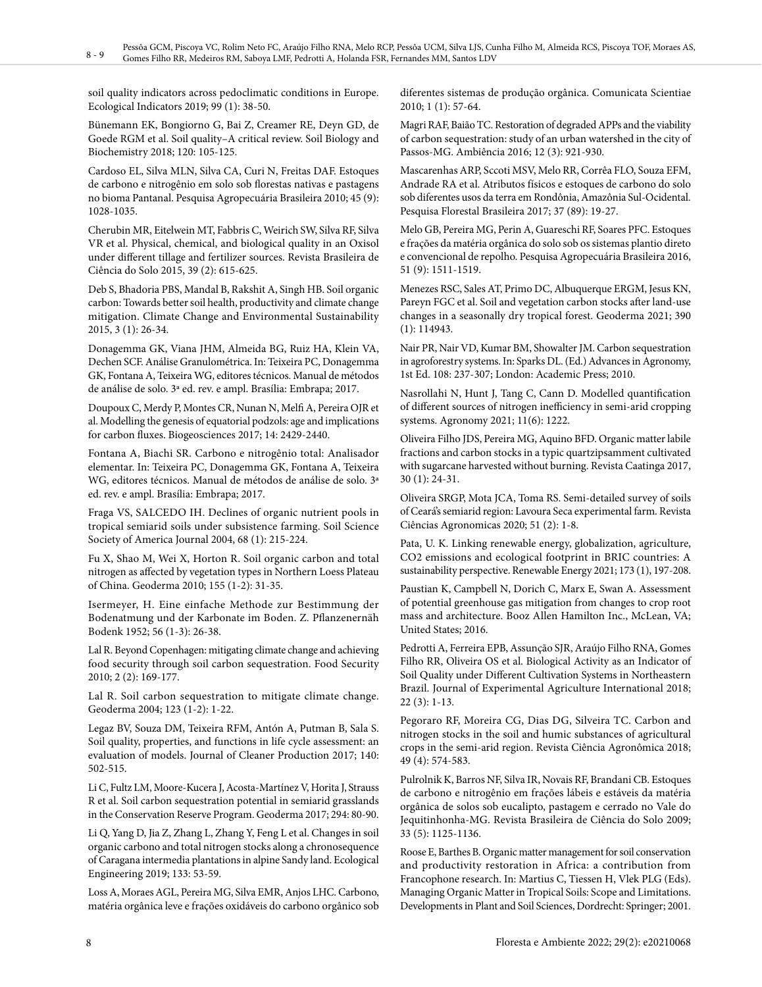soil quality indicators across pedoclimatic conditions in Europe. Ecological Indicators 2019; 99 (1): 38-50.

Bünemann EK, Bongiorno G, Bai Z, Creamer RE, Deyn GD, de Goede RGM et al. Soil quality–A critical review. Soil Biology and Biochemistry 2018; 120: 105-125.

Cardoso EL, Silva MLN, Silva CA, Curi N, Freitas DAF. Estoques de carbono e nitrogênio em solo sob florestas nativas e pastagens no bioma Pantanal. Pesquisa Agropecuária Brasileira 2010; 45 (9): 1028-1035.

Cherubin MR, Eitelwein MT, Fabbris C, Weirich SW, Silva RF, Silva VR et al. Physical, chemical, and biological quality in an Oxisol under different tillage and fertilizer sources. Revista Brasileira de Ciência do Solo 2015, 39 (2): 615-625.

Deb S, Bhadoria PBS, Mandal B, Rakshit A, Singh HB. Soil organic carbon: Towards better soil health, productivity and climate change mitigation. Climate Change and Environmental Sustainability 2015, 3 (1): 26-34.

Donagemma GK, Viana JHM, Almeida BG, Ruiz HA, Klein VA, Dechen SCF. Análise Granulométrica. In: Teixeira PC, Donagemma GK, Fontana A, Teixeira WG, editores técnicos. Manual de métodos de análise de solo. 3ª ed. rev. e ampl. Brasília: Embrapa; 2017.

Doupoux C, Merdy P, Montes CR, Nunan N, Melfi A, Pereira OJR et al. Modelling the genesis of equatorial podzols: age and implications for carbon fluxes. Biogeosciences 2017; 14: 2429-2440.

Fontana A, Biachi SR. Carbono e nitrogênio total: Analisador elementar. In: Teixeira PC, Donagemma GK, Fontana A, Teixeira WG, editores técnicos. Manual de métodos de análise de solo. 3ª ed. rev. e ampl. Brasília: Embrapa; 2017.

Fraga VS, SALCEDO IH. Declines of organic nutrient pools in tropical semiarid soils under subsistence farming. Soil Science Society of America Journal 2004, 68 (1): 215-224.

Fu X, Shao M, Wei X, Horton R. Soil organic carbon and total nitrogen as affected by vegetation types in Northern Loess Plateau of China. Geoderma 2010; 155 (1-2): 31-35.

Isermeyer, H. Eine einfache Methode zur Bestimmung der Bodenatmung und der Karbonate im Boden. Z. Pflanzenernäh Bodenk 1952; 56 (1‐3): 26-38.

Lal R. Beyond Copenhagen: mitigating climate change and achieving food security through soil carbon sequestration. Food Security 2010; 2 (2): 169-177.

Lal R. Soil carbon sequestration to mitigate climate change. Geoderma 2004; 123 (1-2): 1-22.

Legaz BV, Souza DM, Teixeira RFM, Antón A, Putman B, Sala S. Soil quality, properties, and functions in life cycle assessment: an evaluation of models. Journal of Cleaner Production 2017; 140: 502-515.

Li C, Fultz LM, Moore-Kucera J, Acosta-Martínez V, Horita J, Strauss R et al. Soil carbon sequestration potential in semiarid grasslands in the Conservation Reserve Program. Geoderma 2017; 294: 80-90.

Li Q, Yang D, Jia Z, Zhang L, Zhang Y, Feng L et al. Changes in soil organic carbono and total nitrogen stocks along a chronosequence of Caragana intermedia plantations in alpine Sandy land. Ecological Engineering 2019; 133: 53-59.

Loss A, Moraes AGL, Pereira MG, Silva EMR, Anjos LHC. Carbono, matéria orgânica leve e frações oxidáveis do carbono orgânico sob

diferentes sistemas de produção orgânica. Comunicata Scientiae 2010; 1 (1): 57-64.

Magri RAF, Baião TC. Restoration of degraded APPs and the viability of carbon sequestration: study of an urban watershed in the city of Passos-MG. Ambiência 2016; 12 (3): 921-930.

Mascarenhas ARP, Sccoti MSV, Melo RR, Corrêa FLO, Souza EFM, Andrade RA et al. Atributos físicos e estoques de carbono do solo sob diferentes usos da terra em Rondônia, Amazônia Sul-Ocidental. Pesquisa Florestal Brasileira 2017; 37 (89): 19-27.

Melo GB, Pereira MG, Perin A, Guareschi RF, Soares PFC. Estoques e frações da matéria orgânica do solo sob os sistemas plantio direto e convencional de repolho. Pesquisa Agropecuária Brasileira 2016, 51 (9): 1511-1519.

Menezes RSC, Sales AT, Primo DC, Albuquerque ERGM, Jesus KN, Pareyn FGC et al. Soil and vegetation carbon stocks after land-use changes in a seasonally dry tropical forest. Geoderma 2021; 390 (1): 114943.

Nair PR, Nair VD, Kumar BM, Showalter JM. Carbon sequestration in agroforestry systems. In: Sparks DL. (Ed.) Advances in Agronomy, 1st Ed. 108: 237-307; London: Academic Press; 2010.

Nasrollahi N, Hunt J, Tang C, Cann D. Modelled quantification of different sources of nitrogen inefficiency in semi-arid cropping systems. Agronomy 2021; 11(6): 1222.

Oliveira Filho JDS, Pereira MG, Aquino BFD. Organic matter labile fractions and carbon stocks in a typic quartzipsamment cultivated with sugarcane harvested without burning. Revista Caatinga 2017, 30 (1): 24-31.

Oliveira SRGP, Mota JCA, Toma RS. Semi-detailed survey of soils of Ceará's semiarid region: Lavoura Seca experimental farm. Revista Ciências Agronomicas 2020; 51 (2): 1-8.

Pata, U. K. Linking renewable energy, globalization, agriculture, CO2 emissions and ecological footprint in BRIC countries: A sustainability perspective. Renewable Energy 2021; 173 (1), 197-208.

Paustian K, Campbell N, Dorich C, Marx E, Swan A. Assessment of potential greenhouse gas mitigation from changes to crop root mass and architecture. Booz Allen Hamilton Inc., McLean, VA; United States; 2016.

Pedrotti A, Ferreira EPB, Assunção SJR, Araújo Filho RNA, Gomes Filho RR, Oliveira OS et al. Biological Activity as an Indicator of Soil Quality under Different Cultivation Systems in Northeastern Brazil. Journal of Experimental Agriculture International 2018; 22 (3): 1-13.

Pegoraro RF, Moreira CG, Dias DG, Silveira TC. Carbon and nitrogen stocks in the soil and humic substances of agricultural crops in the semi-arid region. Revista Ciência Agronômica 2018; 49 (4): 574-583.

Pulrolnik K, Barros NF, Silva IR, Novais RF, Brandani CB. Estoques de carbono e nitrogênio em frações lábeis e estáveis da matéria orgânica de solos sob eucalipto, pastagem e cerrado no Vale do Jequitinhonha-MG. Revista Brasileira de Ciência do Solo 2009; 33 (5): 1125-1136.

Roose E, Barthes B. Organic matter management for soil conservation and productivity restoration in Africa: a contribution from Francophone research. In: Martius C, Tiessen H, Vlek PLG (Eds). Managing Organic Matter in Tropical Soils: Scope and Limitations. Developments in Plant and Soil Sciences, Dordrecht: Springer; 2001.